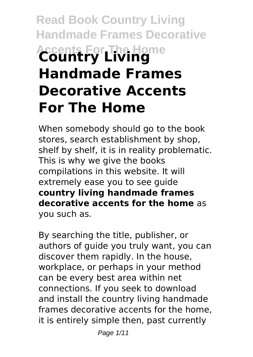# **Read Book Country Living Handmade Frames Decorative Accents For The Home Country Living Handmade Frames Decorative Accents For The Home**

When somebody should go to the book stores, search establishment by shop, shelf by shelf, it is in reality problematic. This is why we give the books compilations in this website. It will extremely ease you to see guide **country living handmade frames decorative accents for the home** as you such as.

By searching the title, publisher, or authors of guide you truly want, you can discover them rapidly. In the house, workplace, or perhaps in your method can be every best area within net connections. If you seek to download and install the country living handmade frames decorative accents for the home, it is entirely simple then, past currently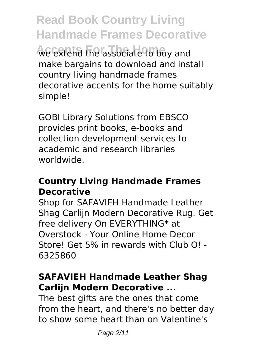**Read Book Country Living Handmade Frames Decorative Accents For The Home** we extend the associate to buy and make bargains to download and install country living handmade frames decorative accents for the home suitably simple!

GOBI Library Solutions from EBSCO provides print books, e-books and collection development services to academic and research libraries worldwide.

#### **Country Living Handmade Frames Decorative**

Shop for SAFAVIEH Handmade Leather Shag Carlijn Modern Decorative Rug. Get free delivery On EVERYTHING\* at Overstock - Your Online Home Decor Store! Get 5% in rewards with Club O! - 6325860

#### **SAFAVIEH Handmade Leather Shag Carlijn Modern Decorative ...**

The best gifts are the ones that come from the heart, and there's no better day to show some heart than on Valentine's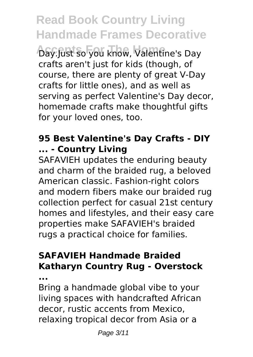Day.Just so you know, Valentine's Day crafts aren't just for kids (though, of course, there are plenty of great V-Day crafts for little ones), and as well as serving as perfect Valentine's Day decor, homemade crafts make thoughtful gifts for your loved ones, too.

#### **95 Best Valentine's Day Crafts - DIY ... - Country Living**

SAFAVIEH updates the enduring beauty and charm of the braided rug, a beloved American classic. Fashion-right colors and modern fibers make our braided rug collection perfect for casual 21st century homes and lifestyles, and their easy care properties make SAFAVIEH's braided rugs a practical choice for families.

### **SAFAVIEH Handmade Braided Katharyn Country Rug - Overstock**

**...**

Bring a handmade global vibe to your living spaces with handcrafted African decor, rustic accents from Mexico, relaxing tropical decor from Asia or a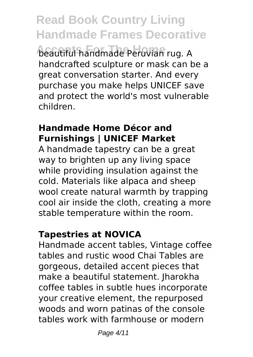**Accents For The Home** beautiful handmade Peruvian rug. A handcrafted sculpture or mask can be a great conversation starter. And every purchase you make helps UNICEF save and protect the world's most vulnerable children.

#### **Handmade Home Décor and Furnishings | UNICEF Market**

A handmade tapestry can be a great way to brighten up any living space while providing insulation against the cold. Materials like alpaca and sheep wool create natural warmth by trapping cool air inside the cloth, creating a more stable temperature within the room.

#### **Tapestries at NOVICA**

Handmade accent tables, Vintage coffee tables and rustic wood Chai Tables are gorgeous, detailed accent pieces that make a beautiful statement. Jharokha coffee tables in subtle hues incorporate your creative element, the repurposed woods and worn patinas of the console tables work with farmhouse or modern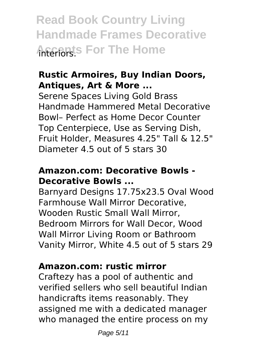**Read Book Country Living Handmade Frames Decorative AFGERIS For The Home** 

#### **Rustic Armoires, Buy Indian Doors, Antiques, Art & More ...**

Serene Spaces Living Gold Brass Handmade Hammered Metal Decorative Bowl– Perfect as Home Decor Counter Top Centerpiece, Use as Serving Dish, Fruit Holder, Measures 4.25" Tall & 12.5" Diameter 4.5 out of 5 stars 30

#### **Amazon.com: Decorative Bowls - Decorative Bowls ...**

Barnyard Designs 17.75x23.5 Oval Wood Farmhouse Wall Mirror Decorative, Wooden Rustic Small Wall Mirror, Bedroom Mirrors for Wall Decor, Wood Wall Mirror Living Room or Bathroom Vanity Mirror, White 4.5 out of 5 stars 29

#### **Amazon.com: rustic mirror**

Craftezy has a pool of authentic and verified sellers who sell beautiful Indian handicrafts items reasonably. They assigned me with a dedicated manager who managed the entire process on my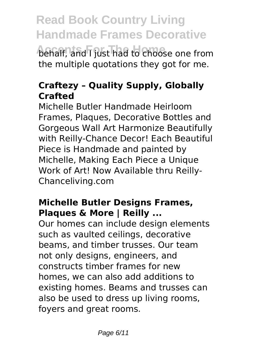**behalf, and I just had to choose one from** the multiple quotations they got for me.

#### **Craftezy – Quality Supply, Globally Crafted**

Michelle Butler Handmade Heirloom Frames, Plaques, Decorative Bottles and Gorgeous Wall Art Harmonize Beautifully with Reilly-Chance Decor! Each Beautiful Piece is Handmade and painted by Michelle, Making Each Piece a Unique Work of Art! Now Available thru Reilly-Chanceliving.com

#### **Michelle Butler Designs Frames, Plaques & More | Reilly ...**

Our homes can include design elements such as vaulted ceilings, decorative beams, and timber trusses. Our team not only designs, engineers, and constructs timber frames for new homes, we can also add additions to existing homes. Beams and trusses can also be used to dress up living rooms, fovers and great rooms.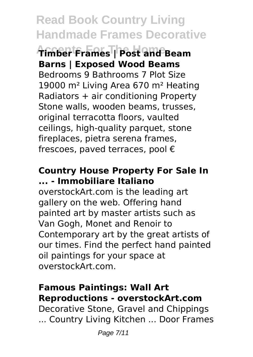**Accents For The Home Timber Frames | Post and Beam Barns | Exposed Wood Beams** Bedrooms 9 Bathrooms 7 Plot Size 19000 m² Living Area 670 m² Heating Radiators + air conditioning Property Stone walls, wooden beams, trusses, original terracotta floors, vaulted ceilings, high-quality parquet, stone fireplaces, pietra serena frames, frescoes, paved terraces, pool €

#### **Country House Property For Sale In ... - Immobiliare Italiano**

overstockArt.com is the leading art gallery on the web. Offering hand painted art by master artists such as Van Gogh, Monet and Renoir to Contemporary art by the great artists of our times. Find the perfect hand painted oil paintings for your space at overstockArt.com.

#### **Famous Paintings: Wall Art Reproductions - overstockArt.com**

Decorative Stone, Gravel and Chippings ... Country Living Kitchen ... Door Frames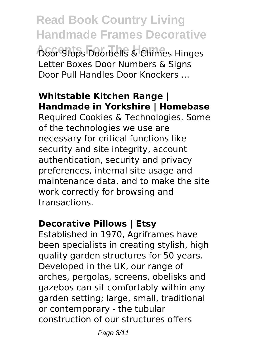**Read Book Country Living Handmade Frames Decorative** *Accents For The Doorbells & Chimes Hinges* Letter Boxes Door Numbers & Signs Door Pull Handles Door Knockers ...

### **Whitstable Kitchen Range | Handmade in Yorkshire | Homebase**

Required Cookies & Technologies. Some of the technologies we use are necessary for critical functions like security and site integrity, account authentication, security and privacy preferences, internal site usage and maintenance data, and to make the site work correctly for browsing and transactions.

#### **Decorative Pillows | Etsy**

Established in 1970, Agriframes have been specialists in creating stylish, high quality garden structures for 50 years. Developed in the UK, our range of arches, pergolas, screens, obelisks and gazebos can sit comfortably within any garden setting; large, small, traditional or contemporary - the tubular construction of our structures offers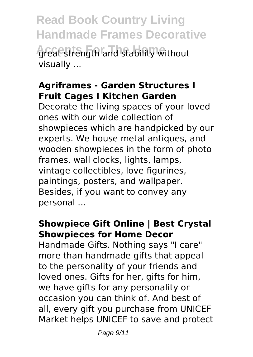**Read Book Country Living Handmade Frames Decorative Accents For The Home** great strength and stability without visually ...

#### **Agriframes - Garden Structures I Fruit Cages I Kitchen Garden**

Decorate the living spaces of your loved ones with our wide collection of showpieces which are handpicked by our experts. We house metal antiques, and wooden showpieces in the form of photo frames, wall clocks, lights, lamps, vintage collectibles, love figurines, paintings, posters, and wallpaper. Besides, if you want to convey any personal ...

#### **Showpiece Gift Online | Best Crystal Showpieces for Home Decor**

Handmade Gifts. Nothing says "I care" more than handmade gifts that appeal to the personality of your friends and loved ones. Gifts for her, gifts for him, we have gifts for any personality or occasion you can think of. And best of all, every gift you purchase from UNICEF Market helps UNICEF to save and protect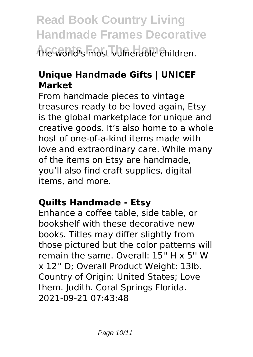# **Read Book Country Living Handmade Frames Decorative Accents For The Home** the world's most vulnerable children.

#### **Unique Handmade Gifts | UNICEF Market**

From handmade pieces to vintage treasures ready to be loved again, Etsy is the global marketplace for unique and creative goods. It's also home to a whole host of one-of-a-kind items made with love and extraordinary care. While many of the items on Etsy are handmade, you'll also find craft supplies, digital items, and more.

#### **Quilts Handmade - Etsy**

Enhance a coffee table, side table, or bookshelf with these decorative new books. Titles may differ slightly from those pictured but the color patterns will remain the same. Overall: 15'' H x 5'' W x 12'' D; Overall Product Weight: 13lb. Country of Origin: United States; Love them. Judith. Coral Springs Florida. 2021-09-21 07:43:48